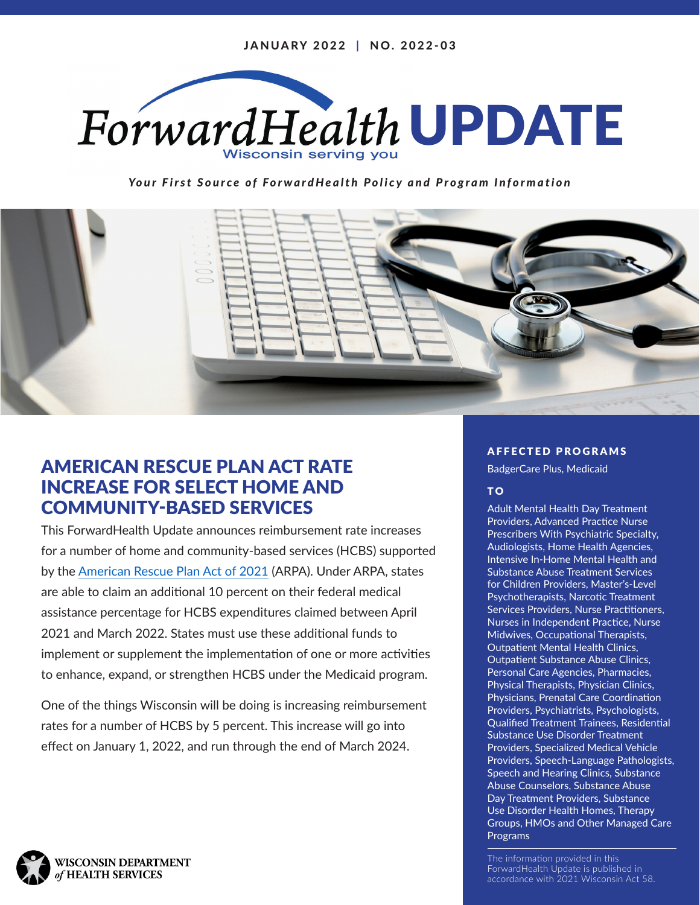

*Your First Source of ForwardHealth Policy and Program Information*



# AMERICAN RESCUE PLAN ACT RATE INCREASE FOR SELECT HOME AND COMMUNITY-BASED SERVICES

This ForwardHealth Update announces reimbursement rate increases for a number of home and community-based services (HCBS) supported by the [American Rescue Plan Act of 2021](https://www.congress.gov/bill/117th-congress/house-bill/1319/text) (ARPA). Under ARPA, states are able to claim an additional 10 percent on their federal medical assistance percentage for HCBS expenditures claimed between April 2021 and March 2022. States must use these additional funds to implement or supplement the implementation of one or more activities to enhance, expand, or strengthen HCBS under the Medicaid program.

One of the things Wisconsin will be doing is increasing reimbursement rates for a number of HCBS by 5 percent. This increase will go into effect on January 1, 2022, and run through the end of March 2024.

#### AFFECTED PROGRAMS

BadgerCare Plus, Medicaid

#### TO<sub>1</sub>

Adult Mental Health Day Treatment Providers, Advanced Practice Nurse Prescribers With Psychiatric Specialty, Audiologists, Home Health Agencies, Intensive In-Home Mental Health and Substance Abuse Treatment Services for Children Providers, Master's-Level Psychotherapists, Narcotic Treatment Services Providers, Nurse Practitioners, Nurses in Independent Practice, Nurse Midwives, Occupational Therapists, Outpatient Mental Health Clinics, Outpatient Substance Abuse Clinics, Personal Care Agencies, Pharmacies, Physical Therapists, Physician Clinics, Physicians, Prenatal Care Coordination Providers, Psychiatrists, Psychologists, Qualified Treatment Trainees, Residential Substance Use Disorder Treatment Providers, Specialized Medical Vehicle Providers, Speech-Language Pathologists, Speech and Hearing Clinics, Substance Abuse Counselors, Substance Abuse Day Treatment Providers, Substance Use Disorder Health Homes, Therapy Groups, HMOs and Other Managed Care Programs

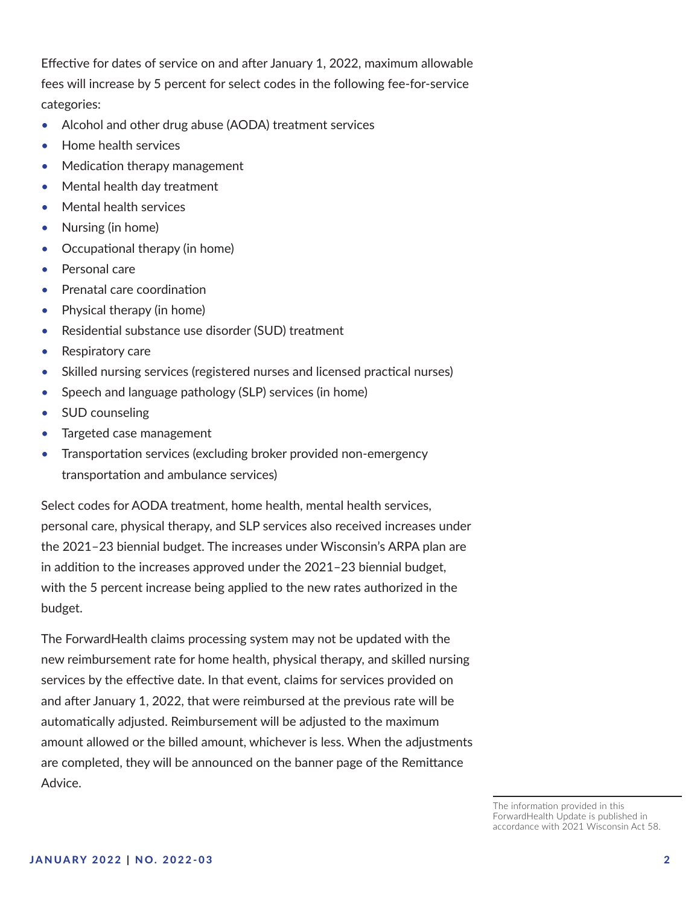Effective for dates of service on and after January 1, 2022, maximum allowable fees will increase by 5 percent for select codes in the following fee-for-service categories:

- Alcohol and other drug abuse (AODA) treatment services
- Home health services
- Medication therapy management
- Mental health day treatment
- Mental health services
- Nursing (in home)
- Occupational therapy (in home)
- Personal care
- Prenatal care coordination
- Physical therapy (in home)
- Residential substance use disorder (SUD) treatment
- Respiratory care
- Skilled nursing services (registered nurses and licensed practical nurses)
- Speech and language pathology (SLP) services (in home)
- SUD counseling
- Targeted case management
- Transportation services (excluding broker provided non-emergency transportation and ambulance services)

Select codes for AODA treatment, home health, mental health services, personal care, physical therapy, and SLP services also received increases under the 2021–23 biennial budget. The increases under Wisconsin's ARPA plan are in addition to the increases approved under the 2021–23 biennial budget, with the 5 percent increase being applied to the new rates authorized in the budget.

The ForwardHealth claims processing system may not be updated with the new reimbursement rate for home health, physical therapy, and skilled nursing services by the effective date. In that event, claims for services provided on and after January 1, 2022, that were reimbursed at the previous rate will be automatically adjusted. Reimbursement will be adjusted to the maximum amount allowed or the billed amount, whichever is less. When the adjustments are completed, they will be announced on the banner page of the Remittance Advice.